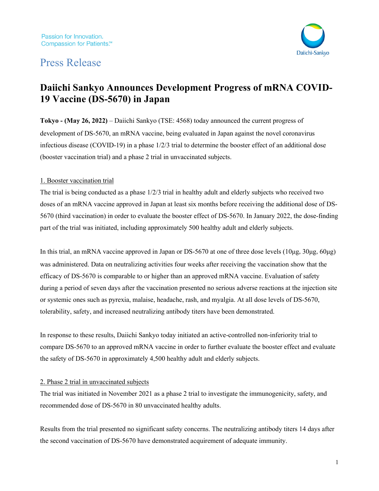# Press Release



# **Daiichi Sankyo Announces Development Progress of mRNA COVID-19 Vaccine (DS-5670) in Japan**

**Tokyo - (Ma**y **26, 2022)** – Daiichi Sankyo (TSE: 4568) today announced the current progress of development of DS-5670, an mRNA vaccine, being evaluated in Japan against the novel coronavirus infectious disease (COVID-19) in a phase 1/2/3 trial to determine the booster effect of an additional dose (booster vaccination trial) and a phase 2 trial in unvaccinated subjects.

### 1. Booster vaccination trial

The trial is being conducted as a phase 1/2/3 trial in healthy adult and elderly subjects who received two doses of an mRNA vaccine approved in Japan at least six months before receiving the additional dose of DS-5670 (third vaccination) in order to evaluate the booster effect of DS-5670. In January 2022, the dose-finding part of the trial was initiated, including approximately 500 healthy adult and elderly subjects.

In this trial, an mRNA vaccine approved in Japan or DS-5670 at one of three dose levels  $(10\mu g, 30\mu g, 60\mu g)$ was administered. Data on neutralizing activities four weeks after receiving the vaccination show that the efficacy of DS-5670 is comparable to or higher than an approved mRNA vaccine. Evaluation of safety during a period of seven days after the vaccination presented no serious adverse reactions at the injection site or systemic ones such as pyrexia, malaise, headache, rash, and myalgia. At all dose levels of DS-5670, tolerability, safety, and increased neutralizing antibody titers have been demonstrated.

In response to these results, Daiichi Sankyo today initiated an active-controlled non-inferiority trial to compare DS-5670 to an approved mRNA vaccine in order to further evaluate the booster effect and evaluate the safety of DS-5670 in approximately 4,500 healthy adult and elderly subjects.

### 2. Phase 2 trial in unvaccinated subjects

The trial was initiated in November 2021 as a phase 2 trial to investigate the immunogenicity, safety, and recommended dose of DS-5670 in 80 unvaccinated healthy adults.

Results from the trial presented no significant safety concerns. The neutralizing antibody titers 14 days after the second vaccination of DS-5670 have demonstrated acquirement of adequate immunity.